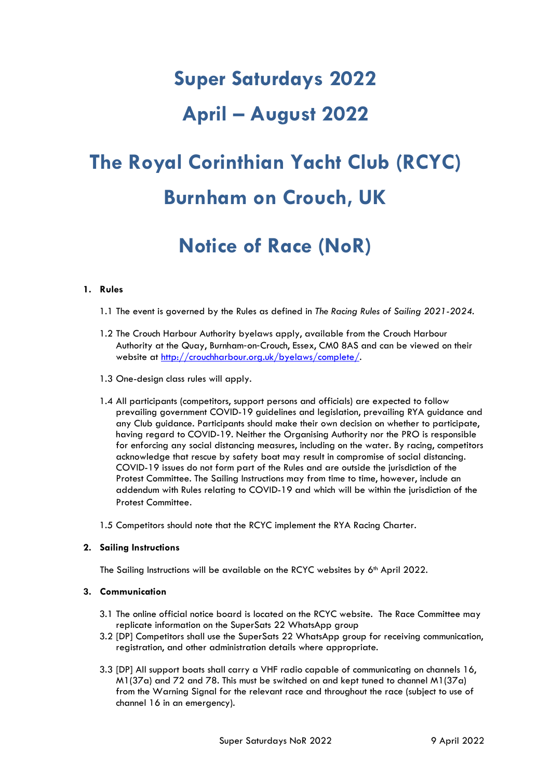# **Super Saturdays 2022**

### **April – August 2022**

## **The Royal Corinthian Yacht Club (RCYC) Burnham on Crouch, UK**

## **Notice of Race (NoR)**

#### **1. Rules**

- 1.1 The event is governed by the Rules as defined in *The Racing Rules of Sailing 2021-2024*.
- 1.2 The Crouch Harbour Authority byelaws apply, available from the Crouch Harbour Authority at the Quay, Burnham‐on‐Crouch, Essex, CM0 8AS and can be viewed on their website at [http://crouchharbour.org.uk/byelaws/complete/.](http://crouchharbour.org.uk/byelaws/complete/)
- 1.3 One-design class rules will apply.
- 1.4 All participants (competitors, support persons and officials) are expected to follow prevailing government COVID-19 guidelines and legislation, prevailing RYA guidance and any Club guidance. Participants should make their own decision on whether to participate, having regard to COVID-19. Neither the Organising Authority nor the PRO is responsible for enforcing any social distancing measures, including on the water. By racing, competitors acknowledge that rescue by safety boat may result in compromise of social distancing. COVID-19 issues do not form part of the Rules and are outside the jurisdiction of the Protest Committee. The Sailing Instructions may from time to time, however, include an addendum with Rules relating to COVID-19 and which will be within the jurisdiction of the Protest Committee.
- 1.5 Competitors should note that the RCYC implement the RYA Racing Charter.

#### **2. Sailing Instructions**

The Sailing Instructions will be available on the RCYC websites by 6<sup>th</sup> April 2022.

#### **3. Communication**

- 3.1 The online official notice board is located on the RCYC website. The Race Committee may replicate information on the SuperSats 22 WhatsApp group
- 3.2 [DP] Competitors shall use the SuperSats 22 WhatsApp group for receiving communication, registration, and other administration details where appropriate.
- 3.3 [DP] All support boats shall carry a VHF radio capable of communicating on channels 16, M1(37a) and 72 and 78. This must be switched on and kept tuned to channel M1(37a) from the Warning Signal for the relevant race and throughout the race (subject to use of channel 16 in an emergency).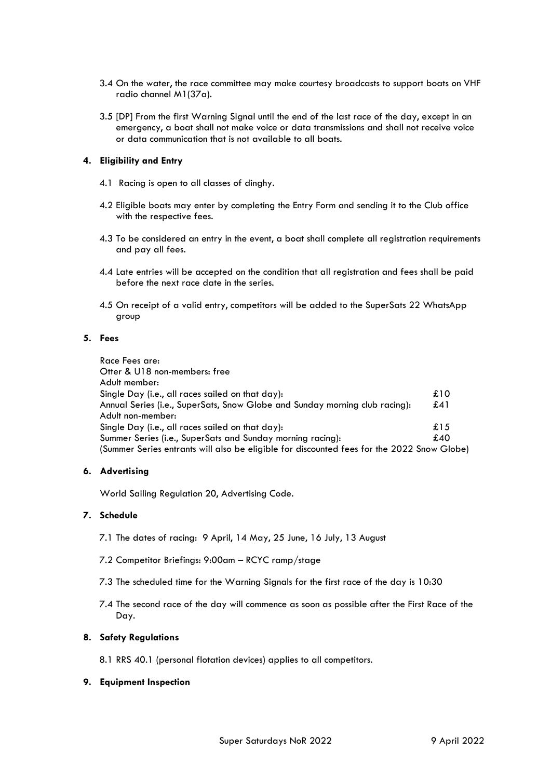- 3.4 On the water, the race committee may make courtesy broadcasts to support boats on VHF radio channel M1(37a).
- 3.5 [DP] From the first Warning Signal until the end of the last race of the day, except in an emergency, a boat shall not make voice or data transmissions and shall not receive voice or data communication that is not available to all boats.

#### **4. Eligibility and Entry**

- 4.1 Racing is open to all classes of dinghy.
- 4.2 Eligible boats may enter by completing the Entry Form and sending it to the Club office with the respective fees.
- 4.3 To be considered an entry in the event, a boat shall complete all registration requirements and pay all fees.
- 4.4 Late entries will be accepted on the condition that all registration and fees shall be paid before the next race date in the series.
- 4.5 On receipt of a valid entry, competitors will be added to the SuperSats 22 WhatsApp group

#### **5. Fees**

| Race Fees are:                                                                             |     |
|--------------------------------------------------------------------------------------------|-----|
| Otter & U18 non-members: free                                                              |     |
| Adult member:                                                                              |     |
| Single Day (i.e., all races sailed on that day):                                           | £10 |
| Annual Series (i.e., SuperSats, Snow Globe and Sunday morning club racing):                | £41 |
| Adult non-member:                                                                          |     |
| Single Day (i.e., all races sailed on that day):                                           | £15 |
| Summer Series (i.e., SuperSats and Sunday morning racing):                                 | £40 |
| (Summer Series entrants will also be eligible for discounted fees for the 2022 Snow Globe) |     |

#### **6. Advertising**

World Sailing Regulation 20, Advertising Code.

#### **7. Schedule**

- 7.1 The dates of racing: 9 April, 14 May, 25 June, 16 July, 13 August
- 7.2 Competitor Briefings: 9:00am RCYC ramp/stage
- 7.3 The scheduled time for the Warning Signals for the first race of the day is 10:30
- 7.4 The second race of the day will commence as soon as possible after the First Race of the Day.

#### **8. Safety Regulations**

8.1 RRS 40.1 (personal flotation devices) applies to all competitors.

#### **9. Equipment Inspection**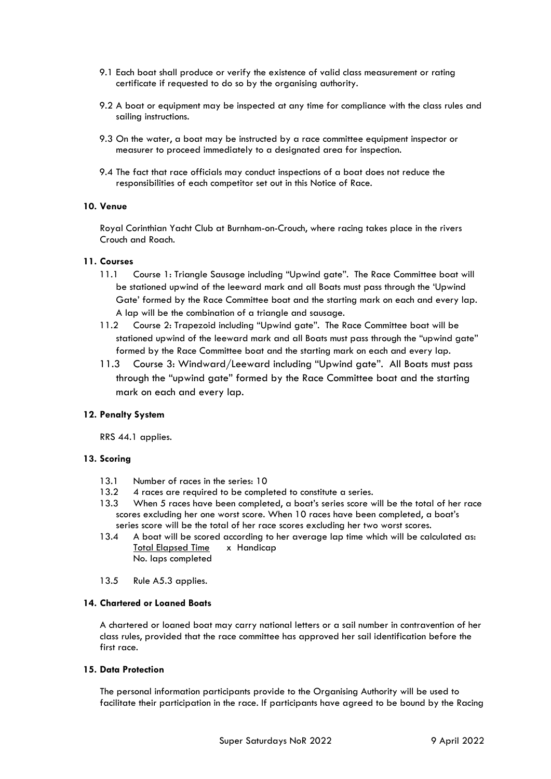- 9.1 Each boat shall produce or verify the existence of valid class measurement or rating certificate if requested to do so by the organising authority.
- 9.2 A boat or equipment may be inspected at any time for compliance with the class rules and sailing instructions.
- 9.3 On the water, a boat may be instructed by a race committee equipment inspector or measurer to proceed immediately to a designated area for inspection.
- 9.4 The fact that race officials may conduct inspections of a boat does not reduce the responsibilities of each competitor set out in this Notice of Race.

#### **10. Venue**

Royal Corinthian Yacht Club at Burnham-on-Crouch, where racing takes place in the rivers Crouch and Roach.

#### **11. Courses**

- 11.1 Course 1: Triangle Sausage including "Upwind gate". The Race Committee boat will be stationed upwind of the leeward mark and all Boats must pass through the 'Upwind Gate' formed by the Race Committee boat and the starting mark on each and every lap. A lap will be the combination of a triangle and sausage.
- 11.2 Course 2: Trapezoid including "Upwind gate". The Race Committee boat will be stationed upwind of the leeward mark and all Boats must pass through the "upwind gate" formed by the Race Committee boat and the starting mark on each and every lap.
- 11.3 Course 3: Windward/Leeward including "Upwind gate". All Boats must pass through the "upwind gate" formed by the Race Committee boat and the starting mark on each and every lap.

#### **12. Penalty System**

RRS 44.1 applies.

#### **13. Scoring**

- 13.1 Number of races in the series: 10
- 13.2 4 races are required to be completed to constitute a series.
- 13.3 When 5 races have been completed, a boat's series score will be the total of her race scores excluding her one worst score. When 10 races have been completed, a boat's series score will be the total of her race scores excluding her two worst scores.
- 13.4 A boat will be scored according to her average lap time which will be calculated as: Total Elapsed Time x Handicap No. laps completed
- 13.5 Rule A5.3 applies.

#### **14. Chartered or Loaned Boats**

A chartered or loaned boat may carry national letters or a sail number in contravention of her class rules, provided that the race committee has approved her sail identification before the first race.

#### **15. Data Protection**

The personal information participants provide to the Organising Authority will be used to facilitate their participation in the race. If participants have agreed to be bound by the Racing